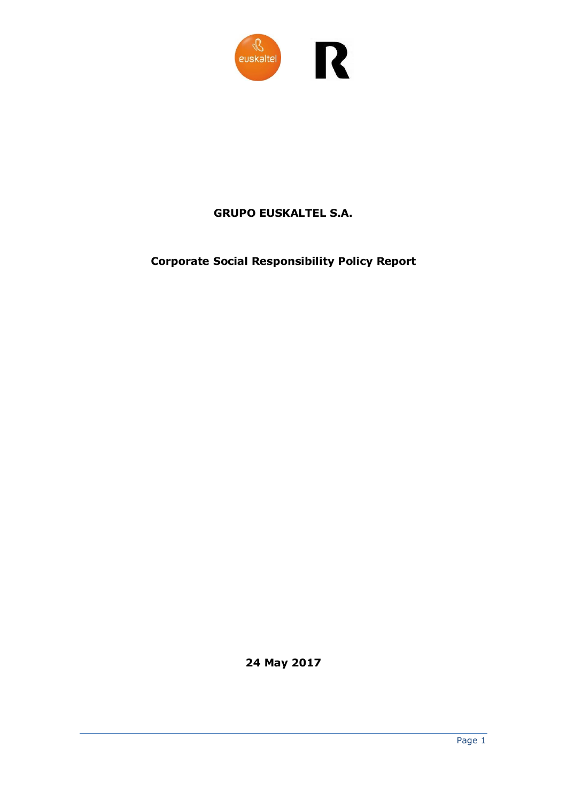

## **GRUPO EUSKALTEL S.A.**

## **Corporate Social Responsibility Policy Report**

**24 May 2017**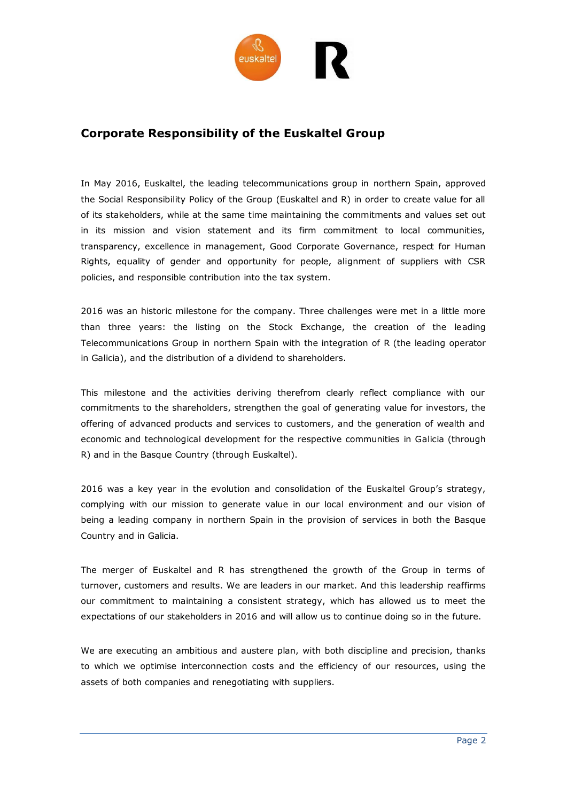

## **Corporate Responsibility of the Euskaltel Group**

In May 2016, Euskaltel, the leading telecommunications group in northern Spain, approved the Social Responsibility Policy of the Group (Euskaltel and R) in order to create value for all of its stakeholders, while at the same time maintaining the commitments and values set out in its mission and vision statement and its firm commitment to local communities, transparency, excellence in management, Good Corporate Governance, respect for Human Rights, equality of gender and opportunity for people, alignment of suppliers with CSR policies, and responsible contribution into the tax system.

2016 was an historic milestone for the company. Three challenges were met in a little more than three years: the listing on the Stock Exchange, the creation of the leading Telecommunications Group in northern Spain with the integration of R (the leading operator in Galicia), and the distribution of a dividend to shareholders.

This milestone and the activities deriving therefrom clearly reflect compliance with our commitments to the shareholders, strengthen the goal of generating value for investors, the offering of advanced products and services to customers, and the generation of wealth and economic and technological development for the respective communities in Galicia (through R) and in the Basque Country (through Euskaltel).

2016 was a key year in the evolution and consolidation of the Euskaltel Group's strategy, complying with our mission to generate value in our local environment and our vision of being a leading company in northern Spain in the provision of services in both the Basque Country and in Galicia.

The merger of Euskaltel and R has strengthened the growth of the Group in terms of turnover, customers and results. We are leaders in our market. And this leadership reaffirms our commitment to maintaining a consistent strategy, which has allowed us to meet the expectations of our stakeholders in 2016 and will allow us to continue doing so in the future.

We are executing an ambitious and austere plan, with both discipline and precision, thanks to which we optimise interconnection costs and the efficiency of our resources, using the assets of both companies and renegotiating with suppliers.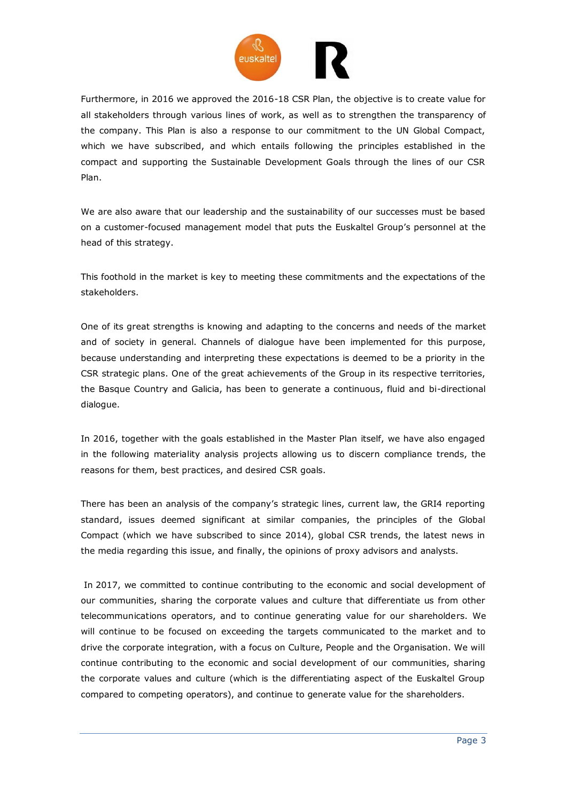

Furthermore, in 2016 we approved the 2016-18 CSR Plan, the objective is to create value for all stakeholders through various lines of work, as well as to strengthen the transparency of the company. This Plan is also a response to our commitment to the UN Global Compact, which we have subscribed, and which entails following the principles established in the compact and supporting the Sustainable Development Goals through the lines of our CSR Plan.

We are also aware that our leadership and the sustainability of our successes must be based on a customer-focused management model that puts the Euskaltel Group's personnel at the head of this strategy.

This foothold in the market is key to meeting these commitments and the expectations of the stakeholders.

One of its great strengths is knowing and adapting to the concerns and needs of the market and of society in general. Channels of dialogue have been implemented for this purpose, because understanding and interpreting these expectations is deemed to be a priority in the CSR strategic plans. One of the great achievements of the Group in its respective territories, the Basque Country and Galicia, has been to generate a continuous, fluid and bi-directional dialogue.

In 2016, together with the goals established in the Master Plan itself, we have also engaged in the following materiality analysis projects allowing us to discern compliance trends, the reasons for them, best practices, and desired CSR goals.

There has been an analysis of the company's strategic lines, current law, the GRI4 reporting standard, issues deemed significant at similar companies, the principles of the Global Compact (which we have subscribed to since 2014), global CSR trends, the latest news in the media regarding this issue, and finally, the opinions of proxy advisors and analysts.

In 2017, we committed to continue contributing to the economic and social development of our communities, sharing the corporate values and culture that differentiate us from other telecommunications operators, and to continue generating value for our shareholders. We will continue to be focused on exceeding the targets communicated to the market and to drive the corporate integration, with a focus on Culture, People and the Organisation. We will continue contributing to the economic and social development of our communities, sharing the corporate values and culture (which is the differentiating aspect of the Euskaltel Group compared to competing operators), and continue to generate value for the shareholders.